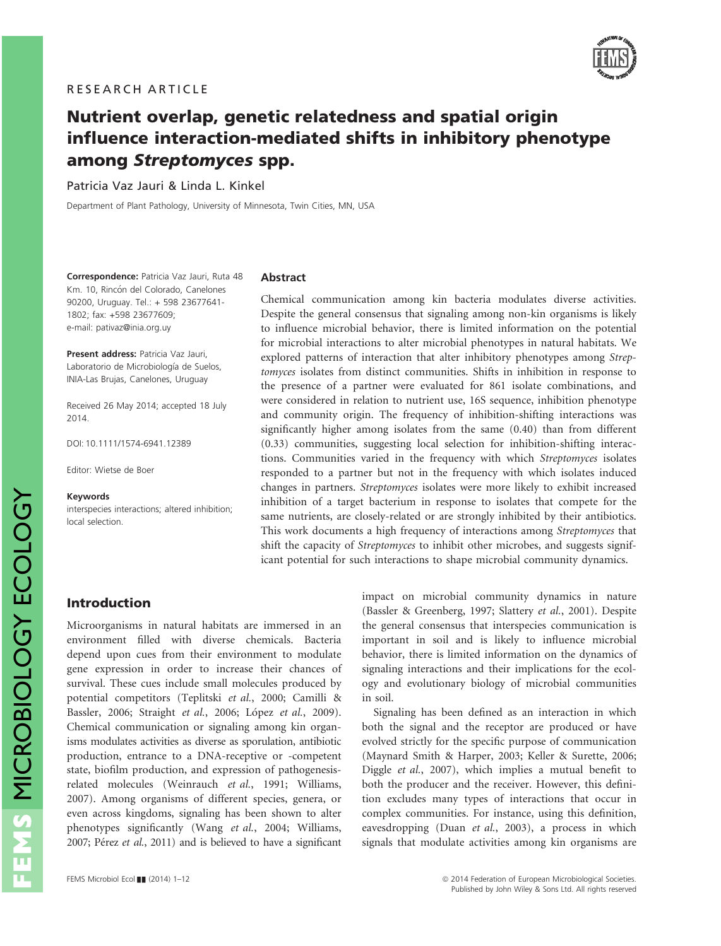

# Nutrient overlap, genetic relatedness and spatial origin influence interaction-mediated shifts in inhibitory phenotype among Streptomyces spp.

Patricia Vaz Jauri & Linda L. Kinkel

Department of Plant Pathology, University of Minnesota, Twin Cities, MN, USA

Correspondence: Patricia Vaz Jauri, Ruta 48 Km. 10, Rincón del Colorado, Canelones 90200, Uruguay. Tel.: + 598 23677641- 1802; fax: +598 23677609; e-mail: pativaz@inia.org.uy

Present address: Patricia Vaz Jauri, Laboratorio de Microbiología de Suelos. INIA-Las Brujas, Canelones, Uruguay

Received 26 May 2014; accepted 18 July 2014.

DOI: 10.1111/1574-6941.12389

Editor: Wietse de Boer

#### Keywords

interspecies interactions; altered inhibition; local selection.

#### Abstract

Chemical communication among kin bacteria modulates diverse activities. Despite the general consensus that signaling among non-kin organisms is likely to influence microbial behavior, there is limited information on the potential for microbial interactions to alter microbial phenotypes in natural habitats. We explored patterns of interaction that alter inhibitory phenotypes among Streptomyces isolates from distinct communities. Shifts in inhibition in response to the presence of a partner were evaluated for 861 isolate combinations, and were considered in relation to nutrient use, 16S sequence, inhibition phenotype and community origin. The frequency of inhibition-shifting interactions was significantly higher among isolates from the same (0.40) than from different (0.33) communities, suggesting local selection for inhibition-shifting interactions. Communities varied in the frequency with which Streptomyces isolates responded to a partner but not in the frequency with which isolates induced changes in partners. Streptomyces isolates were more likely to exhibit increased inhibition of a target bacterium in response to isolates that compete for the same nutrients, are closely-related or are strongly inhibited by their antibiotics. This work documents a high frequency of interactions among Streptomyces that shift the capacity of Streptomyces to inhibit other microbes, and suggests significant potential for such interactions to shape microbial community dynamics.

## Introduction

Microorganisms in natural habitats are immersed in an environment filled with diverse chemicals. Bacteria depend upon cues from their environment to modulate gene expression in order to increase their chances of survival. These cues include small molecules produced by potential competitors (Teplitski et al., 2000; Camilli & Bassler, 2006; Straight et al., 2006; López et al., 2009). Chemical communication or signaling among kin organisms modulates activities as diverse as sporulation, antibiotic production, entrance to a DNA-receptive or -competent state, biofilm production, and expression of pathogenesisrelated molecules (Weinrauch et al., 1991; Williams, 2007). Among organisms of different species, genera, or even across kingdoms, signaling has been shown to alter phenotypes significantly (Wang et al., 2004; Williams, 2007; Pérez et al., 2011) and is believed to have a significant

impact on microbial community dynamics in nature (Bassler & Greenberg, 1997; Slattery et al., 2001). Despite the general consensus that interspecies communication is important in soil and is likely to influence microbial behavior, there is limited information on the dynamics of signaling interactions and their implications for the ecology and evolutionary biology of microbial communities in soil.

Signaling has been defined as an interaction in which both the signal and the receptor are produced or have evolved strictly for the specific purpose of communication (Maynard Smith & Harper, 2003; Keller & Surette, 2006; Diggle et al., 2007), which implies a mutual benefit to both the producer and the receiver. However, this definition excludes many types of interactions that occur in complex communities. For instance, using this definition, eavesdropping (Duan et al., 2003), a process in which signals that modulate activities among kin organisms are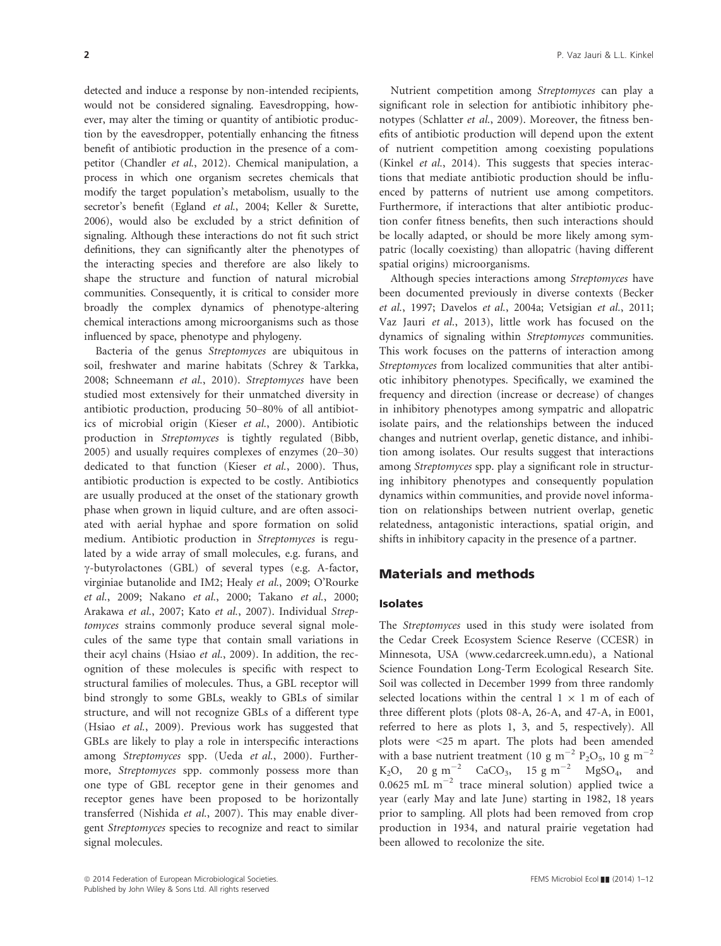detected and induce a response by non-intended recipients, would not be considered signaling. Eavesdropping, however, may alter the timing or quantity of antibiotic production by the eavesdropper, potentially enhancing the fitness benefit of antibiotic production in the presence of a competitor (Chandler et al., 2012). Chemical manipulation, a process in which one organism secretes chemicals that modify the target population's metabolism, usually to the secretor's benefit (Egland et al., 2004; Keller & Surette, 2006), would also be excluded by a strict definition of signaling. Although these interactions do not fit such strict definitions, they can significantly alter the phenotypes of the interacting species and therefore are also likely to shape the structure and function of natural microbial communities. Consequently, it is critical to consider more broadly the complex dynamics of phenotype-altering chemical interactions among microorganisms such as those influenced by space, phenotype and phylogeny.

Bacteria of the genus Streptomyces are ubiquitous in soil, freshwater and marine habitats (Schrey & Tarkka, 2008; Schneemann et al., 2010). Streptomyces have been studied most extensively for their unmatched diversity in antibiotic production, producing 50–80% of all antibiotics of microbial origin (Kieser et al., 2000). Antibiotic production in Streptomyces is tightly regulated (Bibb, 2005) and usually requires complexes of enzymes (20–30) dedicated to that function (Kieser et al., 2000). Thus, antibiotic production is expected to be costly. Antibiotics are usually produced at the onset of the stationary growth phase when grown in liquid culture, and are often associated with aerial hyphae and spore formation on solid medium. Antibiotic production in Streptomyces is regulated by a wide array of small molecules, e.g. furans, and  $\gamma$ -butyrolactones (GBL) of several types (e.g. A-factor, virginiae butanolide and IM2; Healy et al., 2009; O'Rourke et al., 2009; Nakano et al., 2000; Takano et al., 2000; Arakawa et al., 2007; Kato et al., 2007). Individual Streptomyces strains commonly produce several signal molecules of the same type that contain small variations in their acyl chains (Hsiao et al., 2009). In addition, the recognition of these molecules is specific with respect to structural families of molecules. Thus, a GBL receptor will bind strongly to some GBLs, weakly to GBLs of similar structure, and will not recognize GBLs of a different type (Hsiao et al., 2009). Previous work has suggested that GBLs are likely to play a role in interspecific interactions among Streptomyces spp. (Ueda et al., 2000). Furthermore, Streptomyces spp. commonly possess more than one type of GBL receptor gene in their genomes and receptor genes have been proposed to be horizontally transferred (Nishida et al., 2007). This may enable divergent Streptomyces species to recognize and react to similar signal molecules.

Nutrient competition among Streptomyces can play a significant role in selection for antibiotic inhibitory phenotypes (Schlatter et al., 2009). Moreover, the fitness benefits of antibiotic production will depend upon the extent of nutrient competition among coexisting populations (Kinkel et al., 2014). This suggests that species interactions that mediate antibiotic production should be influenced by patterns of nutrient use among competitors. Furthermore, if interactions that alter antibiotic production confer fitness benefits, then such interactions should be locally adapted, or should be more likely among sympatric (locally coexisting) than allopatric (having different spatial origins) microorganisms.

Although species interactions among Streptomyces have been documented previously in diverse contexts (Becker et al., 1997; Davelos et al., 2004a; Vetsigian et al., 2011; Vaz Jauri et al., 2013), little work has focused on the dynamics of signaling within Streptomyces communities. This work focuses on the patterns of interaction among Streptomyces from localized communities that alter antibiotic inhibitory phenotypes. Specifically, we examined the frequency and direction (increase or decrease) of changes in inhibitory phenotypes among sympatric and allopatric isolate pairs, and the relationships between the induced changes and nutrient overlap, genetic distance, and inhibition among isolates. Our results suggest that interactions among Streptomyces spp. play a significant role in structuring inhibitory phenotypes and consequently population dynamics within communities, and provide novel information on relationships between nutrient overlap, genetic relatedness, antagonistic interactions, spatial origin, and shifts in inhibitory capacity in the presence of a partner.

## Materials and methods

#### Isolates

The Streptomyces used in this study were isolated from the Cedar Creek Ecosystem Science Reserve (CCESR) in Minnesota, USA (www.cedarcreek.umn.edu), a National Science Foundation Long-Term Ecological Research Site. Soil was collected in December 1999 from three randomly selected locations within the central  $1 \times 1$  m of each of three different plots (plots 08-A, 26-A, and 47-A, in E001, referred to here as plots 1, 3, and 5, respectively). All plots were <25 m apart. The plots had been amended with a base nutrient treatment (10 g m<sup>-2</sup> P<sub>2</sub>O<sub>5</sub>, 10 g m<sup>-2</sup>  $K_2O$ , 20 g m<sup>-2</sup> CaCO<sub>3</sub>, 15 g m<sup>-2</sup> MgSO<sub>4</sub>, and 0.0625 mL  $m^{-2}$  trace mineral solution) applied twice a year (early May and late June) starting in 1982, 18 years prior to sampling. All plots had been removed from crop production in 1934, and natural prairie vegetation had been allowed to recolonize the site.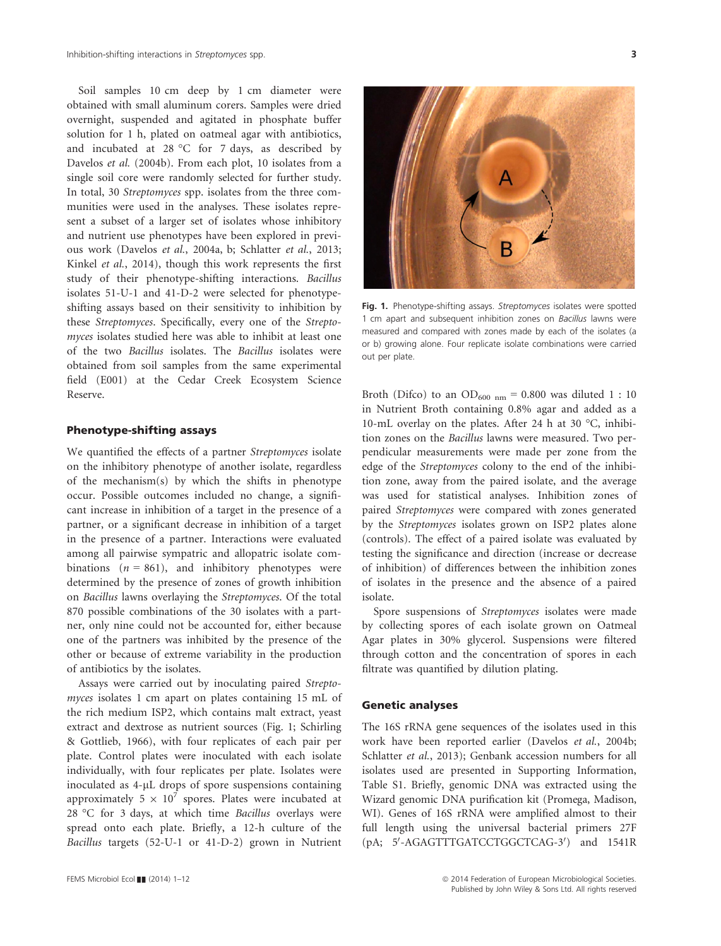Soil samples 10 cm deep by 1 cm diameter were obtained with small aluminum corers. Samples were dried overnight, suspended and agitated in phosphate buffer solution for 1 h, plated on oatmeal agar with antibiotics, and incubated at 28 °C for 7 days, as described by Davelos et al. (2004b). From each plot, 10 isolates from a single soil core were randomly selected for further study. In total, 30 Streptomyces spp. isolates from the three communities were used in the analyses. These isolates represent a subset of a larger set of isolates whose inhibitory and nutrient use phenotypes have been explored in previous work (Davelos et al., 2004a, b; Schlatter et al., 2013; Kinkel et al., 2014), though this work represents the first study of their phenotype-shifting interactions. Bacillus isolates 51-U-1 and 41-D-2 were selected for phenotypeshifting assays based on their sensitivity to inhibition by these Streptomyces. Specifically, every one of the Streptomyces isolates studied here was able to inhibit at least one of the two Bacillus isolates. The Bacillus isolates were obtained from soil samples from the same experimental field (E001) at the Cedar Creek Ecosystem Science Reserve.

## Phenotype-shifting assays

We quantified the effects of a partner Streptomyces isolate on the inhibitory phenotype of another isolate, regardless of the mechanism(s) by which the shifts in phenotype occur. Possible outcomes included no change, a significant increase in inhibition of a target in the presence of a partner, or a significant decrease in inhibition of a target in the presence of a partner. Interactions were evaluated among all pairwise sympatric and allopatric isolate combinations  $(n = 861)$ , and inhibitory phenotypes were determined by the presence of zones of growth inhibition on Bacillus lawns overlaying the Streptomyces. Of the total 870 possible combinations of the 30 isolates with a partner, only nine could not be accounted for, either because one of the partners was inhibited by the presence of the other or because of extreme variability in the production of antibiotics by the isolates.

Assays were carried out by inoculating paired Streptomyces isolates 1 cm apart on plates containing 15 mL of the rich medium ISP2, which contains malt extract, yeast extract and dextrose as nutrient sources (Fig. 1; Schirling & Gottlieb, 1966), with four replicates of each pair per plate. Control plates were inoculated with each isolate individually, with four replicates per plate. Isolates were inoculated as 4-µL drops of spore suspensions containing approximately 5  $\times$  10<sup>7</sup> spores. Plates were incubated at 28 °C for 3 days, at which time Bacillus overlays were spread onto each plate. Briefly, a 12-h culture of the Bacillus targets (52-U-1 or 41-D-2) grown in Nutrient





Fig. 1. Phenotype-shifting assays. Streptomyces isolates were spotted 1 cm apart and subsequent inhibition zones on *Bacillus* lawns were measured and compared with zones made by each of the isolates (a or b) growing alone. Four replicate isolate combinations were carried out per plate.

Broth (Difco) to an OD<sub>600 nm</sub> = 0.800 was diluted 1 : 10 in Nutrient Broth containing 0.8% agar and added as a 10-mL overlay on the plates. After 24 h at 30 °C, inhibition zones on the Bacillus lawns were measured. Two perpendicular measurements were made per zone from the edge of the Streptomyces colony to the end of the inhibition zone, away from the paired isolate, and the average was used for statistical analyses. Inhibition zones of paired Streptomyces were compared with zones generated by the Streptomyces isolates grown on ISP2 plates alone (controls). The effect of a paired isolate was evaluated by testing the significance and direction (increase or decrease of inhibition) of differences between the inhibition zones of isolates in the presence and the absence of a paired isolate.

Spore suspensions of Streptomyces isolates were made by collecting spores of each isolate grown on Oatmeal Agar plates in 30% glycerol. Suspensions were filtered through cotton and the concentration of spores in each filtrate was quantified by dilution plating.

#### Genetic analyses

The 16S rRNA gene sequences of the isolates used in this work have been reported earlier (Davelos et al., 2004b; Schlatter et al., 2013); Genbank accession numbers for all isolates used are presented in Supporting Information, Table S1. Briefly, genomic DNA was extracted using the Wizard genomic DNA purification kit (Promega, Madison, WI). Genes of 16S rRNA were amplified almost to their full length using the universal bacterial primers 27F (pA; 5'-AGAGTTTGATCCTGGCTCAG-3') and 1541R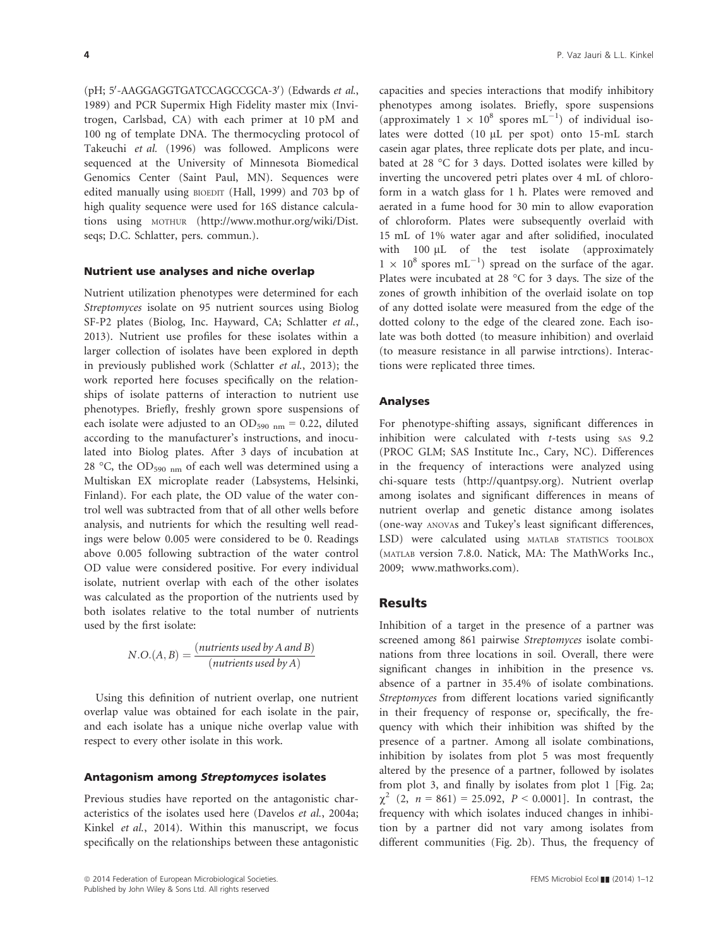(pH; 5'-AAGGAGGTGATCCAGCCGCA-3') (Edwards *et al.*, 1989) and PCR Supermix High Fidelity master mix (Invitrogen, Carlsbad, CA) with each primer at 10 pM and 100 ng of template DNA. The thermocycling protocol of Takeuchi et al. (1996) was followed. Amplicons were sequenced at the University of Minnesota Biomedical Genomics Center (Saint Paul, MN). Sequences were edited manually using BIOEDIT (Hall, 1999) and 703 bp of high quality sequence were used for 16S distance calculations using MOTHUR (http://www.mothur.org/wiki/Dist. seqs; D.C. Schlatter, pers. commun.).

### Nutrient use analyses and niche overlap

Nutrient utilization phenotypes were determined for each Streptomyces isolate on 95 nutrient sources using Biolog SF-P2 plates (Biolog, Inc. Hayward, CA; Schlatter et al., 2013). Nutrient use profiles for these isolates within a larger collection of isolates have been explored in depth in previously published work (Schlatter et al., 2013); the work reported here focuses specifically on the relationships of isolate patterns of interaction to nutrient use phenotypes. Briefly, freshly grown spore suspensions of each isolate were adjusted to an  $OD_{590 \text{ nm}} = 0.22$ , diluted according to the manufacturer's instructions, and inoculated into Biolog plates. After 3 days of incubation at 28 °C, the OD<sub>590</sub> <sub>nm</sub> of each well was determined using a Multiskan EX microplate reader (Labsystems, Helsinki, Finland). For each plate, the OD value of the water control well was subtracted from that of all other wells before analysis, and nutrients for which the resulting well readings were below 0.005 were considered to be 0. Readings above 0.005 following subtraction of the water control OD value were considered positive. For every individual isolate, nutrient overlap with each of the other isolates was calculated as the proportion of the nutrients used by both isolates relative to the total number of nutrients used by the first isolate:

$$
N.O.(A, B) = \frac{(nutrients used by A and B)}{(nutrients used by A)}
$$

Using this definition of nutrient overlap, one nutrient overlap value was obtained for each isolate in the pair, and each isolate has a unique niche overlap value with respect to every other isolate in this work.

#### Antagonism among Streptomyces isolates

Previous studies have reported on the antagonistic characteristics of the isolates used here (Davelos et al., 2004a; Kinkel et al., 2014). Within this manuscript, we focus specifically on the relationships between these antagonistic

capacities and species interactions that modify inhibitory phenotypes among isolates. Briefly, spore suspensions (approximately  $1 \times 10^8$  spores mL<sup>-1</sup>) of individual isolates were dotted (10 µL per spot) onto 15-mL starch casein agar plates, three replicate dots per plate, and incubated at 28 °C for 3 days. Dotted isolates were killed by inverting the uncovered petri plates over 4 mL of chloroform in a watch glass for 1 h. Plates were removed and aerated in a fume hood for 30 min to allow evaporation of chloroform. Plates were subsequently overlaid with 15 mL of 1% water agar and after solidified, inoculated with 100 µL of the test isolate (approximately  $1 \times 10^8$  spores mL<sup>-1</sup>) spread on the surface of the agar. Plates were incubated at 28 °C for 3 days. The size of the zones of growth inhibition of the overlaid isolate on top of any dotted isolate were measured from the edge of the dotted colony to the edge of the cleared zone. Each isolate was both dotted (to measure inhibition) and overlaid (to measure resistance in all parwise intrctions). Interactions were replicated three times.

#### Analyses

For phenotype-shifting assays, significant differences in inhibition were calculated with  $t$ -tests using  $s$ AS 9.2 (PROC GLM; SAS Institute Inc., Cary, NC). Differences in the frequency of interactions were analyzed using chi-square tests (http://quantpsy.org). Nutrient overlap among isolates and significant differences in means of nutrient overlap and genetic distance among isolates (one-way ANOVAs and Tukey's least significant differences, LSD) were calculated using MATLAB STATISTICS TOOLBOX (MATLAB version 7.8.0. Natick, MA: The MathWorks Inc., 2009; www.mathworks.com).

## Results

Inhibition of a target in the presence of a partner was screened among 861 pairwise Streptomyces isolate combinations from three locations in soil. Overall, there were significant changes in inhibition in the presence vs. absence of a partner in 35.4% of isolate combinations. Streptomyces from different locations varied significantly in their frequency of response or, specifically, the frequency with which their inhibition was shifted by the presence of a partner. Among all isolate combinations, inhibition by isolates from plot 5 was most frequently altered by the presence of a partner, followed by isolates from plot 3, and finally by isolates from plot 1 [Fig. 2a;  $\chi^2$  (2,  $n = 861$ ) = 25.092, P < 0.0001]. In contrast, the frequency with which isolates induced changes in inhibition by a partner did not vary among isolates from different communities (Fig. 2b). Thus, the frequency of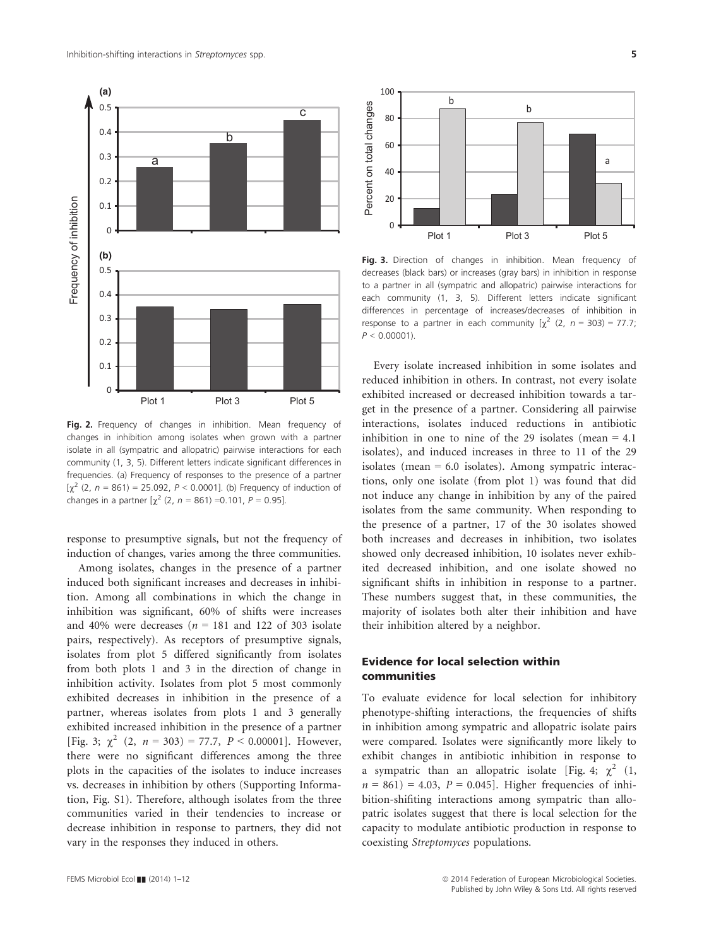

Fig. 2. Frequency of changes in inhibition. Mean frequency of changes in inhibition among isolates when grown with a partner isolate in all (sympatric and allopatric) pairwise interactions for each community (1, 3, 5). Different letters indicate significant differences in frequencies. (a) Frequency of responses to the presence of a partner  $[\gamma^2 (2, n = 861) = 25.092, P < 0.0001]$ . (b) Frequency of induction of changes in a partner  $[\chi^2 (2, n = 861) = 0.101, P = 0.95]$ .

response to presumptive signals, but not the frequency of induction of changes, varies among the three communities.

Among isolates, changes in the presence of a partner induced both significant increases and decreases in inhibition. Among all combinations in which the change in inhibition was significant, 60% of shifts were increases and 40% were decreases ( $n = 181$  and 122 of 303 isolate pairs, respectively). As receptors of presumptive signals, isolates from plot 5 differed significantly from isolates from both plots 1 and 3 in the direction of change in inhibition activity. Isolates from plot 5 most commonly exhibited decreases in inhibition in the presence of a partner, whereas isolates from plots 1 and 3 generally exhibited increased inhibition in the presence of a partner [Fig. 3;  $\gamma^2$  (2,  $n = 303$ ) = 77.7,  $P < 0.00001$ ]. However, there were no significant differences among the three plots in the capacities of the isolates to induce increases vs. decreases in inhibition by others (Supporting Information, Fig. S1). Therefore, although isolates from the three communities varied in their tendencies to increase or decrease inhibition in response to partners, they did not vary in the responses they induced in others.



Fig. 3. Direction of changes in inhibition. Mean frequency of decreases (black bars) or increases (gray bars) in inhibition in response to a partner in all (sympatric and allopatric) pairwise interactions for each community (1, 3, 5). Different letters indicate significant differences in percentage of increases/decreases of inhibition in response to a partner in each community  $[\chi^2 (2, n = 303) = 77.7;$  $P < 0.00001$ 

Every isolate increased inhibition in some isolates and reduced inhibition in others. In contrast, not every isolate exhibited increased or decreased inhibition towards a target in the presence of a partner. Considering all pairwise interactions, isolates induced reductions in antibiotic inhibition in one to nine of the 29 isolates (mean  $= 4.1$ ) isolates), and induced increases in three to 11 of the 29 isolates (mean  $= 6.0$  isolates). Among sympatric interactions, only one isolate (from plot 1) was found that did not induce any change in inhibition by any of the paired isolates from the same community. When responding to the presence of a partner, 17 of the 30 isolates showed both increases and decreases in inhibition, two isolates showed only decreased inhibition, 10 isolates never exhibited decreased inhibition, and one isolate showed no significant shifts in inhibition in response to a partner. These numbers suggest that, in these communities, the majority of isolates both alter their inhibition and have their inhibition altered by a neighbor.

# Evidence for local selection within communities

To evaluate evidence for local selection for inhibitory phenotype-shifting interactions, the frequencies of shifts in inhibition among sympatric and allopatric isolate pairs were compared. Isolates were significantly more likely to exhibit changes in antibiotic inhibition in response to a sympatric than an allopatric isolate [Fig. 4;  $\chi^2$  (1,  $n = 861$ ) = 4.03,  $P = 0.045$ . Higher frequencies of inhibition-shifiting interactions among sympatric than allopatric isolates suggest that there is local selection for the capacity to modulate antibiotic production in response to coexisting Streptomyces populations.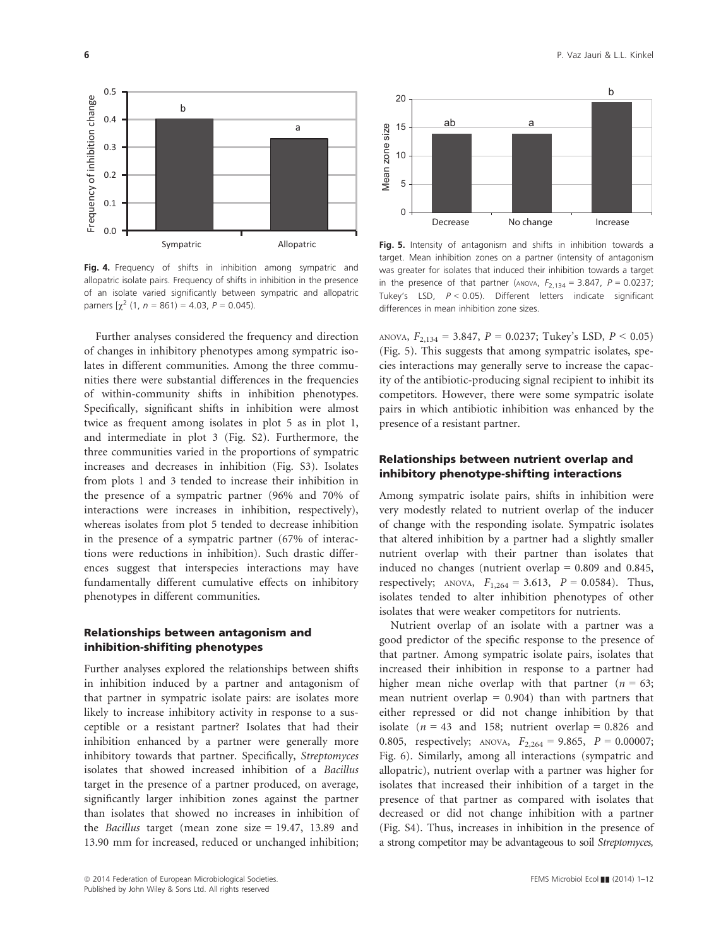

Fig. 4. Frequency of shifts in inhibition among sympatric and allopatric isolate pairs. Frequency of shifts in inhibition in the presence of an isolate varied significantly between sympatric and allopatric parners  $[\chi^2$  (1,  $n = 861$ ) = 4.03,  $P = 0.045$ ).

Further analyses considered the frequency and direction of changes in inhibitory phenotypes among sympatric isolates in different communities. Among the three communities there were substantial differences in the frequencies of within-community shifts in inhibition phenotypes. Specifically, significant shifts in inhibition were almost twice as frequent among isolates in plot 5 as in plot 1, and intermediate in plot 3 (Fig. S2). Furthermore, the three communities varied in the proportions of sympatric increases and decreases in inhibition (Fig. S3). Isolates from plots 1 and 3 tended to increase their inhibition in the presence of a sympatric partner (96% and 70% of interactions were increases in inhibition, respectively), whereas isolates from plot 5 tended to decrease inhibition in the presence of a sympatric partner (67% of interactions were reductions in inhibition). Such drastic differences suggest that interspecies interactions may have fundamentally different cumulative effects on inhibitory phenotypes in different communities.

## Relationships between antagonism and inhibition-shifiting phenotypes

Further analyses explored the relationships between shifts in inhibition induced by a partner and antagonism of that partner in sympatric isolate pairs: are isolates more likely to increase inhibitory activity in response to a susceptible or a resistant partner? Isolates that had their inhibition enhanced by a partner were generally more inhibitory towards that partner. Specifically, Streptomyces isolates that showed increased inhibition of a Bacillus target in the presence of a partner produced, on average, significantly larger inhibition zones against the partner than isolates that showed no increases in inhibition of the *Bacillus* target (mean zone size  $= 19.47, 13.89$  and 13.90 mm for increased, reduced or unchanged inhibition;



Fig. 5. Intensity of antagonism and shifts in inhibition towards a target. Mean inhibition zones on a partner (intensity of antagonism was greater for isolates that induced their inhibition towards a target in the presence of that partner (ANOVA,  $F_{2,134} = 3.847$ ,  $P = 0.0237$ ; Tukey's LSD,  $P < 0.05$ ). Different letters indicate significant differences in mean inhibition zone sizes.

ANOVA,  $F_{2,134} = 3.847$ ,  $P = 0.0237$ ; Tukey's LSD,  $P < 0.05$ ) (Fig. 5). This suggests that among sympatric isolates, species interactions may generally serve to increase the capacity of the antibiotic-producing signal recipient to inhibit its competitors. However, there were some sympatric isolate pairs in which antibiotic inhibition was enhanced by the presence of a resistant partner.

## Relationships between nutrient overlap and inhibitory phenotype-shifting interactions

Among sympatric isolate pairs, shifts in inhibition were very modestly related to nutrient overlap of the inducer of change with the responding isolate. Sympatric isolates that altered inhibition by a partner had a slightly smaller nutrient overlap with their partner than isolates that induced no changes (nutrient overlap  $= 0.809$  and 0.845, respectively; ANOVA,  $F_{1,264} = 3.613$ ,  $P = 0.0584$ ). Thus, isolates tended to alter inhibition phenotypes of other isolates that were weaker competitors for nutrients.

Nutrient overlap of an isolate with a partner was a good predictor of the specific response to the presence of that partner. Among sympatric isolate pairs, isolates that increased their inhibition in response to a partner had higher mean niche overlap with that partner ( $n = 63$ ; mean nutrient overlap  $= 0.904$ ) than with partners that either repressed or did not change inhibition by that isolate ( $n = 43$  and 158; nutrient overlap = 0.826 and 0.805, respectively; ANOVA,  $F_{2,264} = 9.865$ ,  $P = 0.00007$ ; Fig. 6). Similarly, among all interactions (sympatric and allopatric), nutrient overlap with a partner was higher for isolates that increased their inhibition of a target in the presence of that partner as compared with isolates that decreased or did not change inhibition with a partner (Fig. S4). Thus, increases in inhibition in the presence of a strong competitor may be advantageous to soil Streptomyces,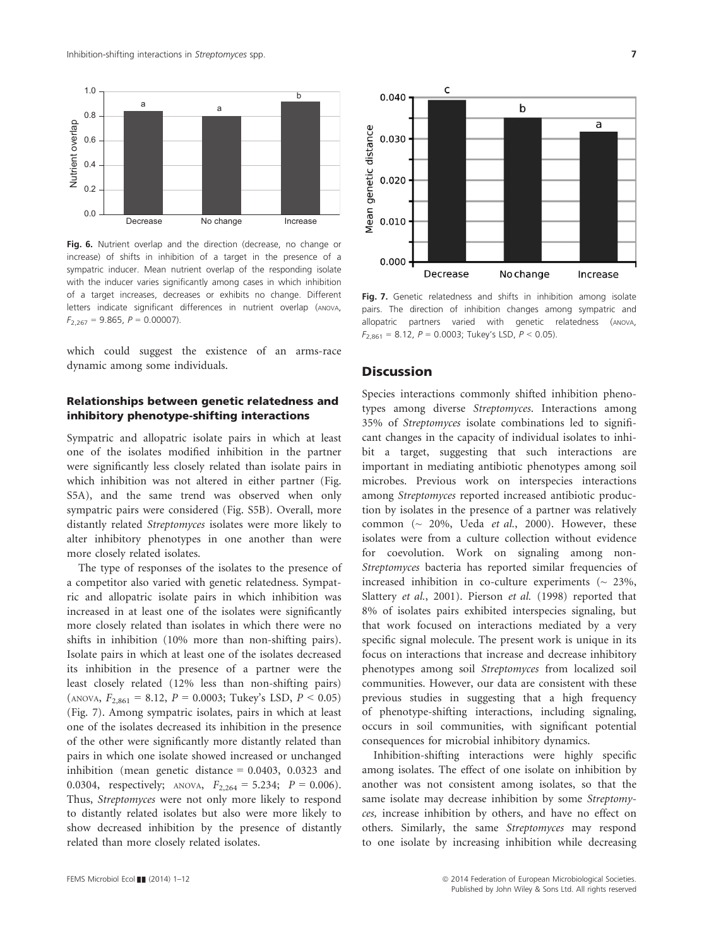

Fig. 6. Nutrient overlap and the direction (decrease, no change or increase) of shifts in inhibition of a target in the presence of a sympatric inducer. Mean nutrient overlap of the responding isolate with the inducer varies significantly among cases in which inhibition of a target increases, decreases or exhibits no change. Different letters indicate significant differences in nutrient overlap (ANOVA,  $F_{2,267} = 9.865$ ,  $P = 0.00007$ ).

which could suggest the existence of an arms-race dynamic among some individuals.

## Relationships between genetic relatedness and inhibitory phenotype-shifting interactions

Sympatric and allopatric isolate pairs in which at least one of the isolates modified inhibition in the partner were significantly less closely related than isolate pairs in which inhibition was not altered in either partner (Fig. S5A), and the same trend was observed when only sympatric pairs were considered (Fig. S5B). Overall, more distantly related Streptomyces isolates were more likely to alter inhibitory phenotypes in one another than were more closely related isolates.

The type of responses of the isolates to the presence of a competitor also varied with genetic relatedness. Sympatric and allopatric isolate pairs in which inhibition was increased in at least one of the isolates were significantly more closely related than isolates in which there were no shifts in inhibition (10% more than non-shifting pairs). Isolate pairs in which at least one of the isolates decreased its inhibition in the presence of a partner were the least closely related (12% less than non-shifting pairs)  $(ANOVA, F<sub>2.861</sub> = 8.12, P = 0.0003; Tukey's LSD, P < 0.05)$ (Fig. 7). Among sympatric isolates, pairs in which at least one of the isolates decreased its inhibition in the presence of the other were significantly more distantly related than pairs in which one isolate showed increased or unchanged inhibition (mean genetic distance = 0.0403, 0.0323 and 0.0304, respectively; ANOVA,  $F_{2,264} = 5.234$ ;  $P = 0.006$ ). Thus, Streptomyces were not only more likely to respond to distantly related isolates but also were more likely to show decreased inhibition by the presence of distantly related than more closely related isolates.



Fig. 7. Genetic relatedness and shifts in inhibition among isolate pairs. The direction of inhibition changes among sympatric and allopatric partners varied with genetic relatedness (ANOVA,  $F_{2,861} = 8.12$ ,  $P = 0.0003$ ; Tukey's LSD,  $P < 0.05$ ).

## **Discussion**

Species interactions commonly shifted inhibition phenotypes among diverse Streptomyces. Interactions among 35% of Streptomyces isolate combinations led to significant changes in the capacity of individual isolates to inhibit a target, suggesting that such interactions are important in mediating antibiotic phenotypes among soil microbes. Previous work on interspecies interactions among Streptomyces reported increased antibiotic production by isolates in the presence of a partner was relatively common ( $\sim$  20%, Ueda et al., 2000). However, these isolates were from a culture collection without evidence for coevolution. Work on signaling among non-Streptomyces bacteria has reported similar frequencies of increased inhibition in co-culture experiments ( $\sim$  23%, Slattery et al., 2001). Pierson et al. (1998) reported that 8% of isolates pairs exhibited interspecies signaling, but that work focused on interactions mediated by a very specific signal molecule. The present work is unique in its focus on interactions that increase and decrease inhibitory phenotypes among soil Streptomyces from localized soil communities. However, our data are consistent with these previous studies in suggesting that a high frequency of phenotype-shifting interactions, including signaling, occurs in soil communities, with significant potential consequences for microbial inhibitory dynamics.

Inhibition-shifting interactions were highly specific among isolates. The effect of one isolate on inhibition by another was not consistent among isolates, so that the same isolate may decrease inhibition by some Streptomyces, increase inhibition by others, and have no effect on others. Similarly, the same Streptomyces may respond to one isolate by increasing inhibition while decreasing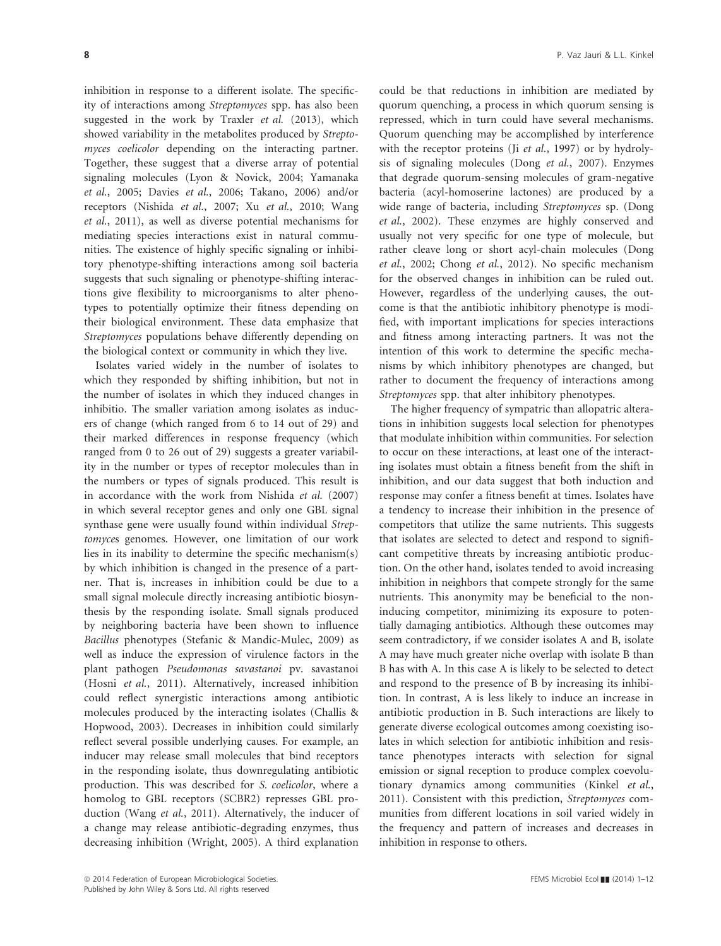inhibition in response to a different isolate. The specificity of interactions among Streptomyces spp. has also been suggested in the work by Traxler et al. (2013), which showed variability in the metabolites produced by Streptomyces coelicolor depending on the interacting partner. Together, these suggest that a diverse array of potential signaling molecules (Lyon & Novick, 2004; Yamanaka et al., 2005; Davies et al., 2006; Takano, 2006) and/or receptors (Nishida et al., 2007; Xu et al., 2010; Wang et al., 2011), as well as diverse potential mechanisms for mediating species interactions exist in natural communities. The existence of highly specific signaling or inhibitory phenotype-shifting interactions among soil bacteria suggests that such signaling or phenotype-shifting interactions give flexibility to microorganisms to alter phenotypes to potentially optimize their fitness depending on their biological environment. These data emphasize that Streptomyces populations behave differently depending on the biological context or community in which they live.

Isolates varied widely in the number of isolates to which they responded by shifting inhibition, but not in the number of isolates in which they induced changes in inhibitio. The smaller variation among isolates as inducers of change (which ranged from 6 to 14 out of 29) and their marked differences in response frequency (which ranged from 0 to 26 out of 29) suggests a greater variability in the number or types of receptor molecules than in the numbers or types of signals produced. This result is in accordance with the work from Nishida et al. (2007) in which several receptor genes and only one GBL signal synthase gene were usually found within individual Streptomyces genomes. However, one limitation of our work lies in its inability to determine the specific mechanism(s) by which inhibition is changed in the presence of a partner. That is, increases in inhibition could be due to a small signal molecule directly increasing antibiotic biosynthesis by the responding isolate. Small signals produced by neighboring bacteria have been shown to influence Bacillus phenotypes (Stefanic & Mandic-Mulec, 2009) as well as induce the expression of virulence factors in the plant pathogen Pseudomonas savastanoi pv. savastanoi (Hosni et al., 2011). Alternatively, increased inhibition could reflect synergistic interactions among antibiotic molecules produced by the interacting isolates (Challis & Hopwood, 2003). Decreases in inhibition could similarly reflect several possible underlying causes. For example, an inducer may release small molecules that bind receptors in the responding isolate, thus downregulating antibiotic production. This was described for S. coelicolor, where a homolog to GBL receptors (SCBR2) represses GBL production (Wang et al., 2011). Alternatively, the inducer of a change may release antibiotic-degrading enzymes, thus decreasing inhibition (Wright, 2005). A third explanation

could be that reductions in inhibition are mediated by quorum quenching, a process in which quorum sensing is repressed, which in turn could have several mechanisms. Quorum quenching may be accomplished by interference with the receptor proteins (Ji et al., 1997) or by hydrolysis of signaling molecules (Dong et al., 2007). Enzymes that degrade quorum-sensing molecules of gram-negative bacteria (acyl-homoserine lactones) are produced by a wide range of bacteria, including Streptomyces sp. (Dong et al., 2002). These enzymes are highly conserved and usually not very specific for one type of molecule, but rather cleave long or short acyl-chain molecules (Dong et al., 2002; Chong et al., 2012). No specific mechanism for the observed changes in inhibition can be ruled out. However, regardless of the underlying causes, the outcome is that the antibiotic inhibitory phenotype is modified, with important implications for species interactions and fitness among interacting partners. It was not the intention of this work to determine the specific mechanisms by which inhibitory phenotypes are changed, but rather to document the frequency of interactions among Streptomyces spp. that alter inhibitory phenotypes.

The higher frequency of sympatric than allopatric alterations in inhibition suggests local selection for phenotypes that modulate inhibition within communities. For selection to occur on these interactions, at least one of the interacting isolates must obtain a fitness benefit from the shift in inhibition, and our data suggest that both induction and response may confer a fitness benefit at times. Isolates have a tendency to increase their inhibition in the presence of competitors that utilize the same nutrients. This suggests that isolates are selected to detect and respond to significant competitive threats by increasing antibiotic production. On the other hand, isolates tended to avoid increasing inhibition in neighbors that compete strongly for the same nutrients. This anonymity may be beneficial to the noninducing competitor, minimizing its exposure to potentially damaging antibiotics. Although these outcomes may seem contradictory, if we consider isolates A and B, isolate A may have much greater niche overlap with isolate B than B has with A. In this case A is likely to be selected to detect and respond to the presence of B by increasing its inhibition. In contrast, A is less likely to induce an increase in antibiotic production in B. Such interactions are likely to generate diverse ecological outcomes among coexisting isolates in which selection for antibiotic inhibition and resistance phenotypes interacts with selection for signal emission or signal reception to produce complex coevolutionary dynamics among communities (Kinkel et al., 2011). Consistent with this prediction, Streptomyces communities from different locations in soil varied widely in the frequency and pattern of increases and decreases in inhibition in response to others.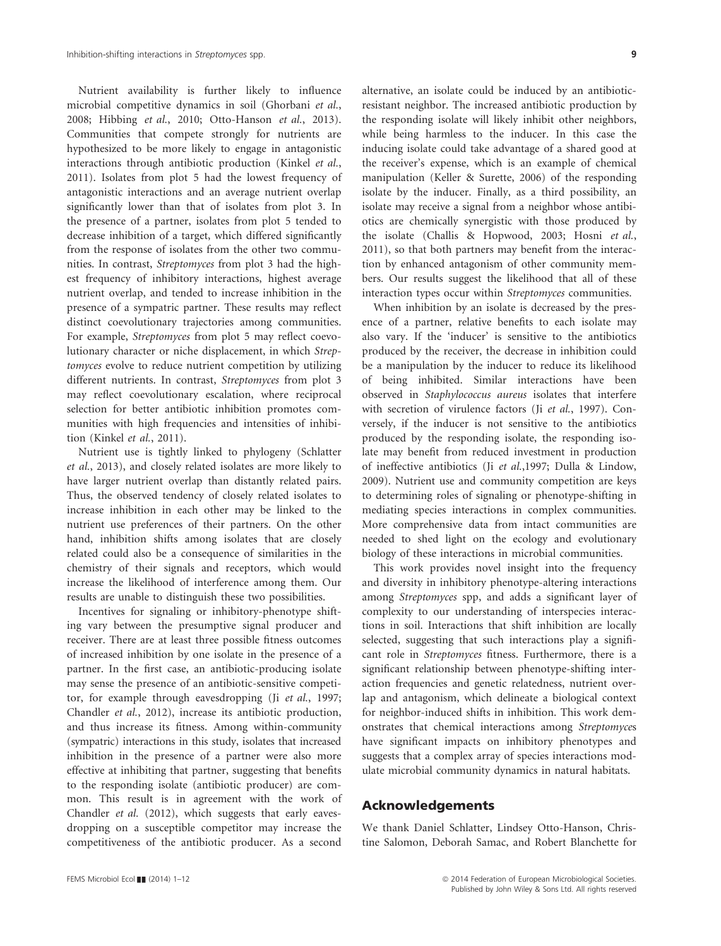Nutrient availability is further likely to influence microbial competitive dynamics in soil (Ghorbani et al., 2008; Hibbing et al., 2010; Otto-Hanson et al., 2013). Communities that compete strongly for nutrients are hypothesized to be more likely to engage in antagonistic interactions through antibiotic production (Kinkel et al., 2011). Isolates from plot 5 had the lowest frequency of antagonistic interactions and an average nutrient overlap significantly lower than that of isolates from plot 3. In the presence of a partner, isolates from plot 5 tended to decrease inhibition of a target, which differed significantly from the response of isolates from the other two communities. In contrast, Streptomyces from plot 3 had the highest frequency of inhibitory interactions, highest average nutrient overlap, and tended to increase inhibition in the presence of a sympatric partner. These results may reflect distinct coevolutionary trajectories among communities. For example, Streptomyces from plot 5 may reflect coevolutionary character or niche displacement, in which Streptomyces evolve to reduce nutrient competition by utilizing different nutrients. In contrast, Streptomyces from plot 3 may reflect coevolutionary escalation, where reciprocal selection for better antibiotic inhibition promotes communities with high frequencies and intensities of inhibition (Kinkel et al., 2011).

Nutrient use is tightly linked to phylogeny (Schlatter et al., 2013), and closely related isolates are more likely to have larger nutrient overlap than distantly related pairs. Thus, the observed tendency of closely related isolates to increase inhibition in each other may be linked to the nutrient use preferences of their partners. On the other hand, inhibition shifts among isolates that are closely related could also be a consequence of similarities in the chemistry of their signals and receptors, which would increase the likelihood of interference among them. Our results are unable to distinguish these two possibilities.

Incentives for signaling or inhibitory-phenotype shifting vary between the presumptive signal producer and receiver. There are at least three possible fitness outcomes of increased inhibition by one isolate in the presence of a partner. In the first case, an antibiotic-producing isolate may sense the presence of an antibiotic-sensitive competitor, for example through eavesdropping (Ji et al., 1997; Chandler et al., 2012), increase its antibiotic production, and thus increase its fitness. Among within-community (sympatric) interactions in this study, isolates that increased inhibition in the presence of a partner were also more effective at inhibiting that partner, suggesting that benefits to the responding isolate (antibiotic producer) are common. This result is in agreement with the work of Chandler et al. (2012), which suggests that early eavesdropping on a susceptible competitor may increase the competitiveness of the antibiotic producer. As a second

alternative, an isolate could be induced by an antibioticresistant neighbor. The increased antibiotic production by the responding isolate will likely inhibit other neighbors, while being harmless to the inducer. In this case the inducing isolate could take advantage of a shared good at the receiver's expense, which is an example of chemical manipulation (Keller & Surette, 2006) of the responding isolate by the inducer. Finally, as a third possibility, an isolate may receive a signal from a neighbor whose antibiotics are chemically synergistic with those produced by the isolate (Challis & Hopwood, 2003; Hosni et al., 2011), so that both partners may benefit from the interaction by enhanced antagonism of other community members. Our results suggest the likelihood that all of these interaction types occur within Streptomyces communities.

When inhibition by an isolate is decreased by the presence of a partner, relative benefits to each isolate may also vary. If the 'inducer' is sensitive to the antibiotics produced by the receiver, the decrease in inhibition could be a manipulation by the inducer to reduce its likelihood of being inhibited. Similar interactions have been observed in Staphylococcus aureus isolates that interfere with secretion of virulence factors (Ji et al., 1997). Conversely, if the inducer is not sensitive to the antibiotics produced by the responding isolate, the responding isolate may benefit from reduced investment in production of ineffective antibiotics (Ji et al.,1997; Dulla & Lindow, 2009). Nutrient use and community competition are keys to determining roles of signaling or phenotype-shifting in mediating species interactions in complex communities. More comprehensive data from intact communities are needed to shed light on the ecology and evolutionary biology of these interactions in microbial communities.

This work provides novel insight into the frequency and diversity in inhibitory phenotype-altering interactions among Streptomyces spp, and adds a significant layer of complexity to our understanding of interspecies interactions in soil. Interactions that shift inhibition are locally selected, suggesting that such interactions play a significant role in Streptomyces fitness. Furthermore, there is a significant relationship between phenotype-shifting interaction frequencies and genetic relatedness, nutrient overlap and antagonism, which delineate a biological context for neighbor-induced shifts in inhibition. This work demonstrates that chemical interactions among Streptomyces have significant impacts on inhibitory phenotypes and suggests that a complex array of species interactions modulate microbial community dynamics in natural habitats.

## Acknowledgements

We thank Daniel Schlatter, Lindsey Otto-Hanson, Christine Salomon, Deborah Samac, and Robert Blanchette for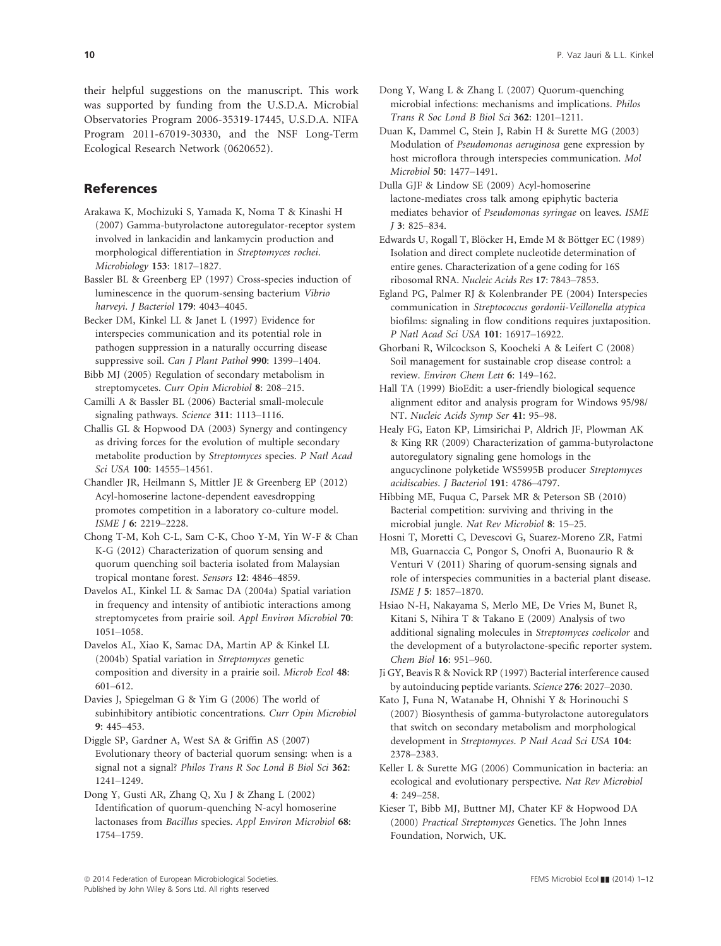their helpful suggestions on the manuscript. This work was supported by funding from the U.S.D.A. Microbial Observatories Program 2006-35319-17445, U.S.D.A. NIFA Program 2011-67019-30330, and the NSF Long-Term Ecological Research Network (0620652).

# References

Arakawa K, Mochizuki S, Yamada K, Noma T & Kinashi H (2007) Gamma-butyrolactone autoregulator-receptor system involved in lankacidin and lankamycin production and morphological differentiation in Streptomyces rochei. Microbiology 153: 1817–1827.

Bassler BL & Greenberg EP (1997) Cross-species induction of luminescence in the quorum-sensing bacterium Vibrio harveyi. J Bacteriol 179: 4043–4045.

Becker DM, Kinkel LL & Janet L (1997) Evidence for interspecies communication and its potential role in pathogen suppression in a naturally occurring disease suppressive soil. Can J Plant Pathol 990: 1399-1404.

Bibb MJ (2005) Regulation of secondary metabolism in streptomycetes. Curr Opin Microbiol 8: 208–215.

Camilli A & Bassler BL (2006) Bacterial small-molecule signaling pathways. Science 311: 1113–1116.

Challis GL & Hopwood DA (2003) Synergy and contingency as driving forces for the evolution of multiple secondary metabolite production by Streptomyces species. P Natl Acad Sci USA 100: 14555–14561.

Chandler JR, Heilmann S, Mittler JE & Greenberg EP (2012) Acyl-homoserine lactone-dependent eavesdropping promotes competition in a laboratory co-culture model. ISME J 6: 2219–2228.

Chong T-M, Koh C-L, Sam C-K, Choo Y-M, Yin W-F & Chan K-G (2012) Characterization of quorum sensing and quorum quenching soil bacteria isolated from Malaysian tropical montane forest. Sensors 12: 4846–4859.

Davelos AL, Kinkel LL & Samac DA (2004a) Spatial variation in frequency and intensity of antibiotic interactions among streptomycetes from prairie soil. Appl Environ Microbiol 70: 1051–1058.

Davelos AL, Xiao K, Samac DA, Martin AP & Kinkel LL (2004b) Spatial variation in Streptomyces genetic composition and diversity in a prairie soil. Microb Ecol 48: 601–612.

Davies J, Spiegelman G & Yim G (2006) The world of subinhibitory antibiotic concentrations. Curr Opin Microbiol 9: 445–453.

Diggle SP, Gardner A, West SA & Griffin AS (2007) Evolutionary theory of bacterial quorum sensing: when is a signal not a signal? Philos Trans R Soc Lond B Biol Sci <sup>362</sup>: 1241–1249.

Dong Y, Gusti AR, Zhang Q, Xu J & Zhang L (2002) Identification of quorum-quenching N-acyl homoserine lactonases from Bacillus species. Appl Environ Microbiol 68: 1754–1759.

- Dong Y, Wang L & Zhang L (2007) Quorum-quenching microbial infections: mechanisms and implications. Philos Trans R Soc Lond B Biol Sci 362: 1201–1211.
- Duan K, Dammel C, Stein J, Rabin H & Surette MG (2003) Modulation of Pseudomonas aeruginosa gene expression by host microflora through interspecies communication. Mol Microbiol 50: 1477–1491.

Dulla GJF & Lindow SE (2009) Acyl-homoserine lactone-mediates cross talk among epiphytic bacteria mediates behavior of Pseudomonas syringae on leaves. ISME <sup>J</sup> 3: 825–834.

Edwards U, Rogall T, Blöcker H, Emde M & Böttger EC (1989) Isolation and direct complete nucleotide determination of entire genes. Characterization of a gene coding for 16S ribosomal RNA. Nucleic Acids Res 17: 7843–7853.

Egland PG, Palmer RJ & Kolenbrander PE (2004) Interspecies communication in Streptococcus gordonii-Veillonella atypica biofilms: signaling in flow conditions requires juxtaposition. P Natl Acad Sci USA 101: 16917–16922.

Ghorbani R, Wilcockson S, Koocheki A & Leifert C (2008) Soil management for sustainable crop disease control: a review. Environ Chem Lett 6: 149–162.

Hall TA (1999) BioEdit: a user-friendly biological sequence alignment editor and analysis program for Windows 95/98/ NT. Nucleic Acids Symp Ser 41: 95–98.

Healy FG, Eaton KP, Limsirichai P, Aldrich JF, Plowman AK & King RR (2009) Characterization of gamma-butyrolactone autoregulatory signaling gene homologs in the angucyclinone polyketide WS5995B producer Streptomyces acidiscabies. J Bacteriol 191: 4786–4797.

Hibbing ME, Fuqua C, Parsek MR & Peterson SB (2010) Bacterial competition: surviving and thriving in the microbial jungle. Nat Rev Microbiol 8: 15–25.

Hosni T, Moretti C, Devescovi G, Suarez-Moreno ZR, Fatmi MB, Guarnaccia C, Pongor S, Onofri A, Buonaurio R & Venturi V (2011) Sharing of quorum-sensing signals and role of interspecies communities in a bacterial plant disease. ISME J 5: 1857–1870.

Hsiao N-H, Nakayama S, Merlo ME, De Vries M, Bunet R, Kitani S, Nihira T & Takano E (2009) Analysis of two additional signaling molecules in Streptomyces coelicolor and the development of a butyrolactone-specific reporter system. Chem Biol 16: 951–960.

Ji GY, Beavis R & Novick RP (1997) Bacterial interference caused by autoinducing peptide variants. Science 276: 2027–2030.

Kato J, Funa N, Watanabe H, Ohnishi Y & Horinouchi S (2007) Biosynthesis of gamma-butyrolactone autoregulators that switch on secondary metabolism and morphological development in Streptomyces. P Natl Acad Sci USA 104: 2378–2383.

Keller L & Surette MG (2006) Communication in bacteria: an ecological and evolutionary perspective. Nat Rev Microbiol 4: 249–258.

Kieser T, Bibb MJ, Buttner MJ, Chater KF & Hopwood DA (2000) Practical Streptomyces Genetics. The John Innes Foundation, Norwich, UK.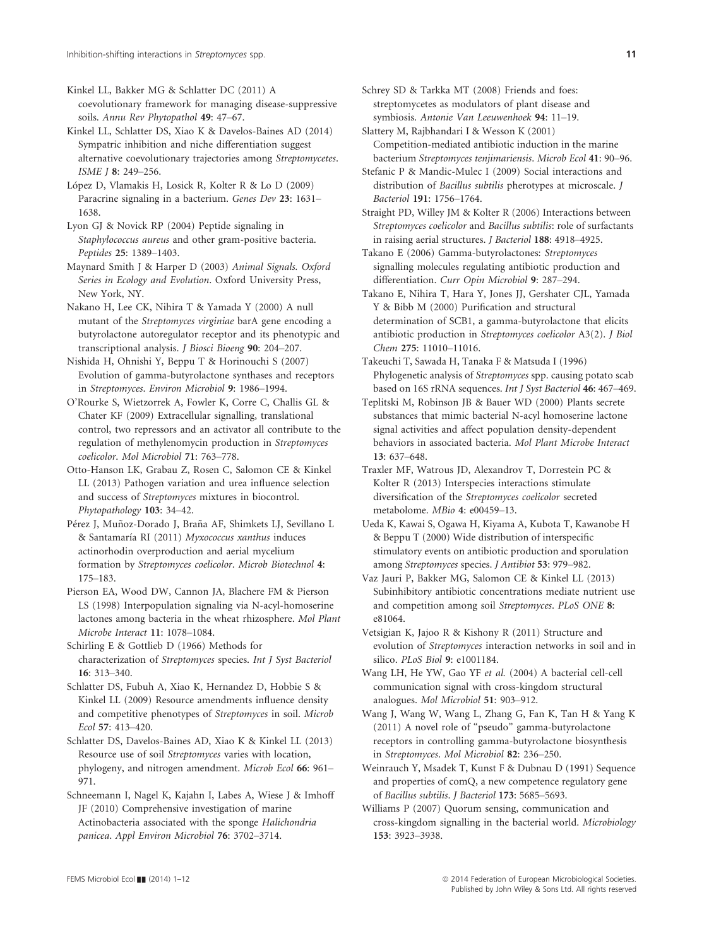Kinkel LL, Bakker MG & Schlatter DC (2011) A coevolutionary framework for managing disease-suppressive soils. Annu Rev Phytopathol 49: 47–67.

Kinkel LL, Schlatter DS, Xiao K & Davelos-Baines AD (2014) Sympatric inhibition and niche differentiation suggest alternative coevolutionary trajectories among Streptomycetes. ISME J 8: 249–256.

López D, Vlamakis H, Losick R, Kolter R & Lo D (2009) Paracrine signaling in a bacterium. Genes Dev 23: 1631– 1638.

Lyon GJ & Novick RP (2004) Peptide signaling in Staphylococcus aureus and other gram-positive bacteria. Peptides 25: 1389–1403.

Maynard Smith J & Harper D (2003) Animal Signals. Oxford Series in Ecology and Evolution. Oxford University Press, New York, NY.

Nakano H, Lee CK, Nihira T & Yamada Y (2000) A null mutant of the Streptomyces virginiae barA gene encoding a butyrolactone autoregulator receptor and its phenotypic and transcriptional analysis. J Biosci Bioeng 90: 204–207.

Nishida H, Ohnishi Y, Beppu T & Horinouchi S (2007) Evolution of gamma-butyrolactone synthases and receptors in Streptomyces. Environ Microbiol 9: 1986–1994.

O'Rourke S, Wietzorrek A, Fowler K, Corre C, Challis GL & Chater KF (2009) Extracellular signalling, translational control, two repressors and an activator all contribute to the regulation of methylenomycin production in Streptomyces coelicolor. Mol Microbiol 71: 763–778.

Otto-Hanson LK, Grabau Z, Rosen C, Salomon CE & Kinkel LL (2013) Pathogen variation and urea influence selection and success of Streptomyces mixtures in biocontrol. Phytopathology 103: 34–42.

Pérez J, Muñoz-Dorado J, Braña AF, Shimkets LJ, Sevillano L & Santamaría RI (2011) Myxococcus xanthus induces actinorhodin overproduction and aerial mycelium formation by Streptomyces coelicolor. Microb Biotechnol 4: 175–183.

Pierson EA, Wood DW, Cannon JA, Blachere FM & Pierson LS (1998) Interpopulation signaling via N-acyl-homoserine lactones among bacteria in the wheat rhizosphere. Mol Plant Microbe Interact 11: 1078–1084.

Schirling E & Gottlieb D (1966) Methods for characterization of Streptomyces species. Int J Syst Bacteriol 16: 313–340.

Schlatter DS, Fubuh A, Xiao K, Hernandez D, Hobbie S & Kinkel LL (2009) Resource amendments influence density and competitive phenotypes of Streptomyces in soil. Microb Ecol 57: 413–420.

Schlatter DS, Davelos-Baines AD, Xiao K & Kinkel LL (2013) Resource use of soil Streptomyces varies with location, phylogeny, and nitrogen amendment. Microb Ecol 66: 961– 971.

Schneemann I, Nagel K, Kajahn I, Labes A, Wiese J & Imhoff JF (2010) Comprehensive investigation of marine Actinobacteria associated with the sponge Halichondria panicea. Appl Environ Microbiol 76: 3702–3714.

Schrey SD & Tarkka MT (2008) Friends and foes: streptomycetes as modulators of plant disease and symbiosis. Antonie Van Leeuwenhoek 94: 11–19.

Slattery M, Rajbhandari I & Wesson K (2001) Competition-mediated antibiotic induction in the marine bacterium Streptomyces tenjimariensis. Microb Ecol 41: 90–96.

Stefanic P & Mandic-Mulec I (2009) Social interactions and distribution of Bacillus subtilis pherotypes at microscale. J Bacteriol 191: 1756–1764.

Straight PD, Willey JM & Kolter R (2006) Interactions between Streptomyces coelicolor and Bacillus subtilis: role of surfactants in raising aerial structures. J Bacteriol 188: 4918–4925.

Takano E (2006) Gamma-butyrolactones: Streptomyces signalling molecules regulating antibiotic production and differentiation. Curr Opin Microbiol 9: 287–294.

Takano E, Nihira T, Hara Y, Jones JJ, Gershater CJL, Yamada Y & Bibb M (2000) Purification and structural determination of SCB1, a gamma-butyrolactone that elicits antibiotic production in Streptomyces coelicolor A3(2). J Biol Chem 275: 11010–11016.

Takeuchi T, Sawada H, Tanaka F & Matsuda I (1996) Phylogenetic analysis of Streptomyces spp. causing potato scab based on 16S rRNA sequences. Int J Syst Bacteriol 46: 467–469.

Teplitski M, Robinson JB & Bauer WD (2000) Plants secrete substances that mimic bacterial N-acyl homoserine lactone signal activities and affect population density-dependent behaviors in associated bacteria. Mol Plant Microbe Interact 13: 637–648.

Traxler MF, Watrous JD, Alexandrov T, Dorrestein PC & Kolter R (2013) Interspecies interactions stimulate diversification of the Streptomyces coelicolor secreted metabolome. MBio 4: e00459–13.

Ueda K, Kawai S, Ogawa H, Kiyama A, Kubota T, Kawanobe H & Beppu T (2000) Wide distribution of interspecific stimulatory events on antibiotic production and sporulation among Streptomyces species. J Antibiot 53: 979–982.

Vaz Jauri P, Bakker MG, Salomon CE & Kinkel LL (2013) Subinhibitory antibiotic concentrations mediate nutrient use and competition among soil Streptomyces. PLoS ONE 8: e81064.

Vetsigian K, Jajoo R & Kishony R (2011) Structure and evolution of Streptomyces interaction networks in soil and in silico. PLoS Biol 9: e1001184.

Wang LH, He YW, Gao YF et al. (2004) A bacterial cell-cell communication signal with cross-kingdom structural analogues. Mol Microbiol 51: 903–912.

Wang J, Wang W, Wang L, Zhang G, Fan K, Tan H & Yang K (2011) A novel role of "pseudo" gamma-butyrolactone receptors in controlling gamma-butyrolactone biosynthesis in Streptomyces. Mol Microbiol 82: 236–250.

Weinrauch Y, Msadek T, Kunst F & Dubnau D (1991) Sequence and properties of comQ, a new competence regulatory gene of Bacillus subtilis. J Bacteriol 173: 5685–5693.

Williams P (2007) Quorum sensing, communication and cross-kingdom signalling in the bacterial world. Microbiology 153: 3923–3938.